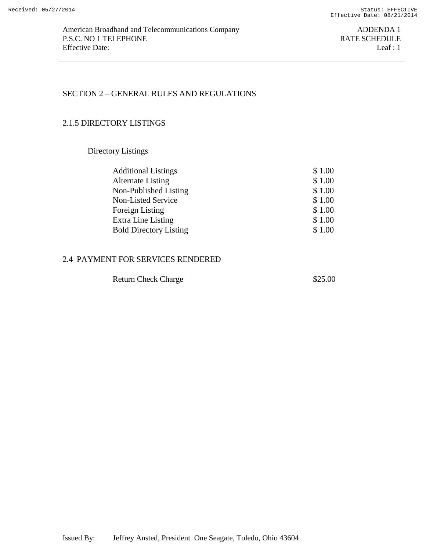# SECTION 2 – GENERAL RULES AND REGULATIONS

## 2.1.5 DIRECTORY LISTINGS

Directory Listings

| <b>Additional Listings</b>    | \$1.00 |
|-------------------------------|--------|
| <b>Alternate Listing</b>      | \$1.00 |
| Non-Published Listing         | \$1.00 |
| Non-Listed Service            | \$1.00 |
| Foreign Listing               | \$1.00 |
| Extra Line Listing            | \$1.00 |
| <b>Bold Directory Listing</b> | \$1.00 |
|                               |        |

#### 2.4 PAYMENT FOR SERVICES RENDERED

| <b>Return Check Charge</b> | \$25.00 |
|----------------------------|---------|
|----------------------------|---------|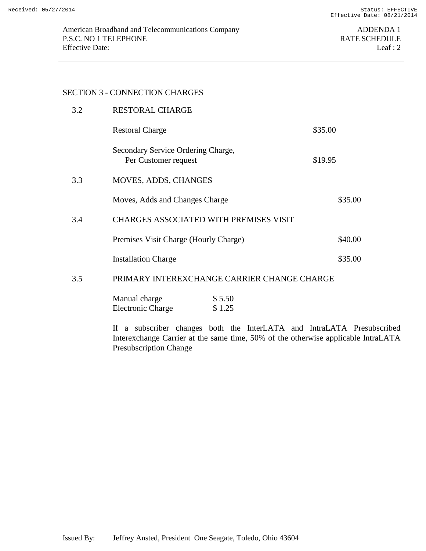#### SECTION 3 - CONNECTION CHARGES

| 3.2 | <b>RESTORAL CHARGE</b>                                     |         |
|-----|------------------------------------------------------------|---------|
|     | <b>Restoral Charge</b>                                     | \$35.00 |
|     | Secondary Service Ordering Charge,<br>Per Customer request | \$19.95 |
| 3.3 | <b>MOVES, ADDS, CHANGES</b>                                |         |
|     | Moves, Adds and Changes Charge                             | \$35.00 |
| 3.4 | <b>CHARGES ASSOCIATED WITH PREMISES VISIT</b>              |         |
|     | Premises Visit Charge (Hourly Charge)                      | \$40.00 |
|     | <b>Installation Charge</b>                                 | \$35.00 |
|     |                                                            |         |

## 3.5 PRIMARY INTEREXCHANGE CARRIER CHANGE CHARGE

| Manual charge            | \$5.50 |
|--------------------------|--------|
| <b>Electronic Charge</b> | \$1.25 |

If a subscriber changes both the InterLATA and IntraLATA Presubscribed Interexchange Carrier at the same time, 50% of the otherwise applicable IntraLATA Presubscription Change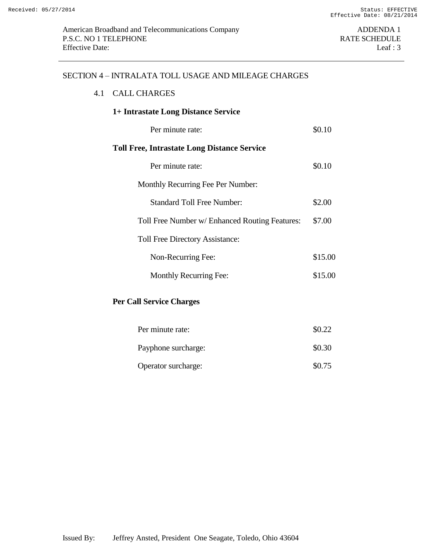#### SECTION 4 – INTRALATA TOLL USAGE AND MILEAGE CHARGES

#### 4.1 CALL CHARGES

# **1+ Intrastate Long Distance Service** Per minute rate:  $$0.10$ **Toll Free, Intrastate Long Distance Service** Per minute rate:  $$0.10$ Monthly Recurring Fee Per Number: Standard Toll Free Number: \$2.00 Toll Free Number w/ Enhanced Routing Features: \$7.00 Toll Free Directory Assistance: Non-Recurring Fee: \$15.00 Monthly Recurring Fee: \$15.00 **Per Call Service Charges**

| Per minute rate:    | \$0.22 |
|---------------------|--------|
| Payphone surcharge: | \$0.30 |
| Operator surcharge: | \$0.75 |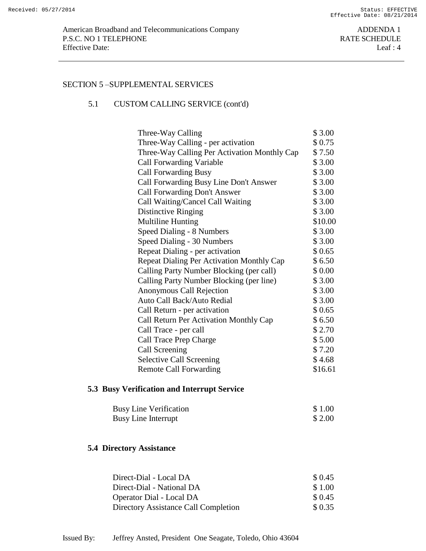#### SECTION 5 –SUPPLEMENTAL SERVICES

## 5.1 CUSTOM CALLING SERVICE (cont'd)

| Three-Way Calling                            | \$3.00  |
|----------------------------------------------|---------|
| Three-Way Calling - per activation           | \$0.75  |
| Three-Way Calling Per Activation Monthly Cap | \$7.50  |
| <b>Call Forwarding Variable</b>              | \$3.00  |
| <b>Call Forwarding Busy</b>                  | \$3.00  |
| Call Forwarding Busy Line Don't Answer       | \$3.00  |
| Call Forwarding Don't Answer                 | \$3.00  |
| Call Waiting/Cancel Call Waiting             | \$3.00  |
| Distinctive Ringing                          | \$3.00  |
| <b>Multiline Hunting</b>                     | \$10.00 |
| Speed Dialing - 8 Numbers                    | \$3.00  |
| Speed Dialing - 30 Numbers                   | \$3.00  |
| Repeat Dialing - per activation              | \$0.65  |
| Repeat Dialing Per Activation Monthly Cap    | \$6.50  |
| Calling Party Number Blocking (per call)     | \$ 0.00 |
| Calling Party Number Blocking (per line)     | \$3.00  |
| Anonymous Call Rejection                     | \$3.00  |
| Auto Call Back/Auto Redial                   | \$3.00  |
| Call Return - per activation                 | \$0.65  |
| Call Return Per Activation Monthly Cap       | \$6.50  |
| Call Trace - per call                        | \$2.70  |
| Call Trace Prep Charge                       | \$5.00  |
| Call Screening                               | \$7.20  |
| <b>Selective Call Screening</b>              | \$4.68  |
| <b>Remote Call Forwarding</b>                | \$16.61 |

## **5.3 Busy Verification and Interrupt Service**

| <b>Busy Line Verification</b> | \$1.00  |
|-------------------------------|---------|
| Busy Line Interrupt           | \$ 2.00 |

## **5.4 Directory Assistance**

| Direct-Dial - Local DA               | \$ 0.45 |
|--------------------------------------|---------|
| Direct-Dial - National DA            | \$1.00  |
| Operator Dial - Local DA             | \$ 0.45 |
| Directory Assistance Call Completion | \$0.35  |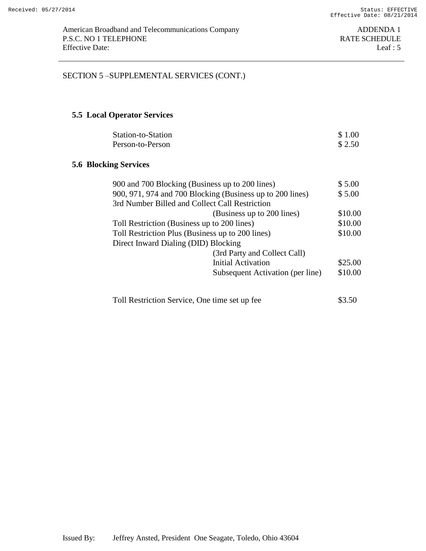## SECTION 5 –SUPPLEMENTAL SERVICES (CONT.)

## **5.5 Local Operator Services**

| Station-to-Station | \$1.00 |
|--------------------|--------|
| Person-to-Person   | \$2.50 |

### **5.6 Blocking Services**

| 900 and 700 Blocking (Business up to 200 lines)           | \$5.00  |
|-----------------------------------------------------------|---------|
| 900, 971, 974 and 700 Blocking (Business up to 200 lines) | \$5.00  |
| 3rd Number Billed and Collect Call Restriction            |         |
| (Business up to 200 lines)                                | \$10.00 |
| Toll Restriction (Business up to 200 lines)               | \$10.00 |
| Toll Restriction Plus (Business up to 200 lines)          | \$10.00 |
| Direct Inward Dialing (DID) Blocking                      |         |
| (3rd Party and Collect Call)                              |         |
| <b>Initial Activation</b>                                 | \$25.00 |
| Subsequent Activation (per line)                          | \$10.00 |
|                                                           |         |
|                                                           |         |

| Toll Restriction Service, One time set up fee | \$3.50 |
|-----------------------------------------------|--------|
|-----------------------------------------------|--------|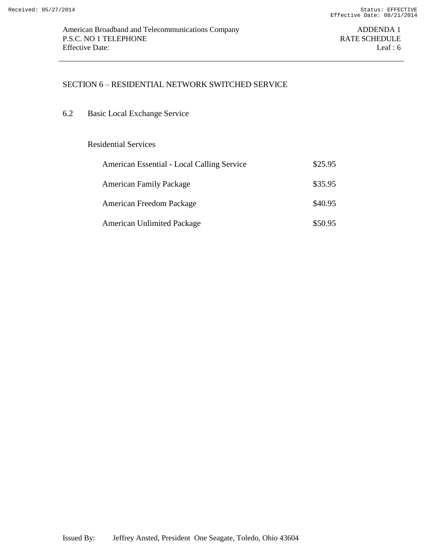### SECTION 6 – RESIDENTIAL NETWORK SWITCHED SERVICE

6.2 Basic Local Exchange Service

#### Residential Services

| American Essential - Local Calling Service | \$25.95 |
|--------------------------------------------|---------|
| <b>American Family Package</b>             | \$35.95 |
| American Freedom Package                   | \$40.95 |
| <b>American Unlimited Package</b>          | \$50.95 |